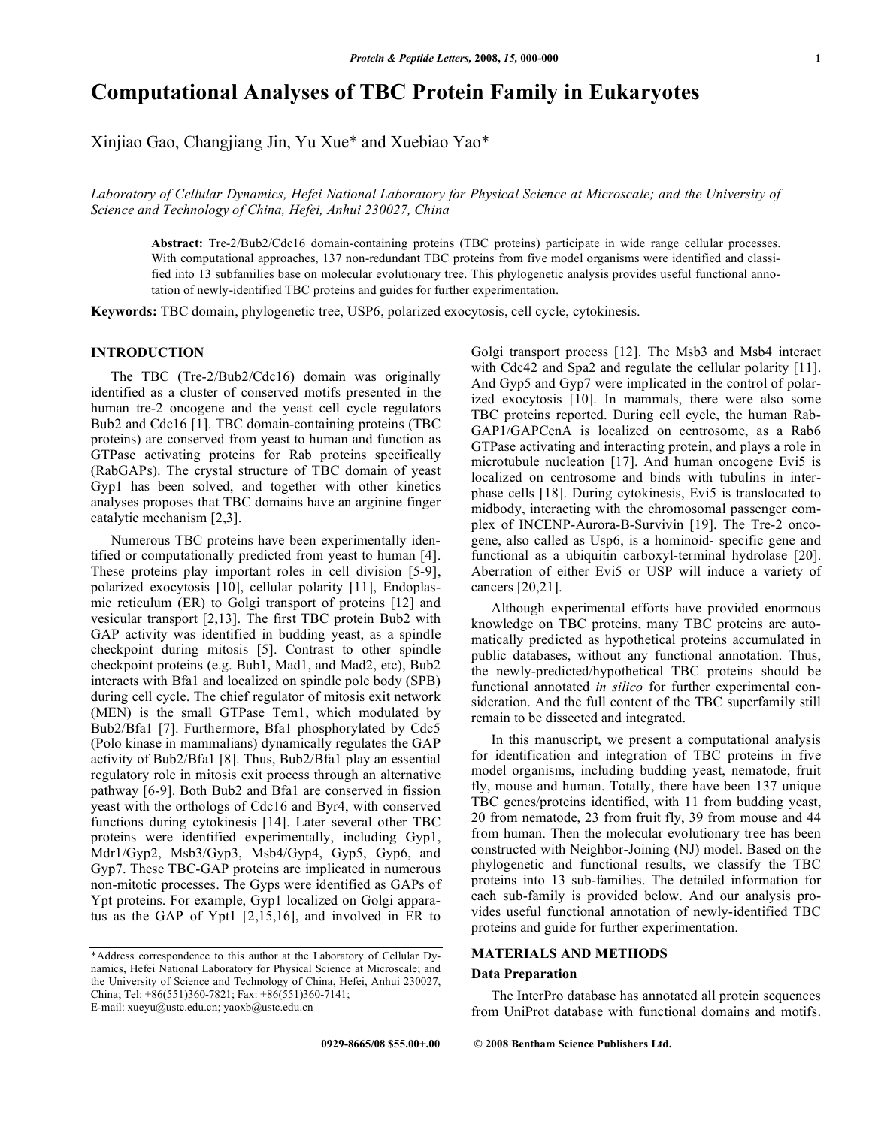# **Computational Analyses of TBC Protein Family in Eukaryotes**

Xinjiao Gao, Changjiang Jin, Yu Xue\* and Xuebiao Yao\*

*Laboratory of Cellular Dynamics, Hefei National Laboratory for Physical Science at Microscale; and the University of Science and Technology of China, Hefei, Anhui 230027, China* 

**Abstract:** Tre-2/Bub2/Cdc16 domain-containing proteins (TBC proteins) participate in wide range cellular processes. With computational approaches, 137 non-redundant TBC proteins from five model organisms were identified and classified into 13 subfamilies base on molecular evolutionary tree. This phylogenetic analysis provides useful functional annotation of newly-identified TBC proteins and guides for further experimentation.

**Keywords:** TBC domain, phylogenetic tree, USP6, polarized exocytosis, cell cycle, cytokinesis.

# **INTRODUCTION**

 The TBC (Tre-2/Bub2/Cdc16) domain was originally identified as a cluster of conserved motifs presented in the human tre-2 oncogene and the yeast cell cycle regulators Bub2 and Cdc16 [1]. TBC domain-containing proteins (TBC proteins) are conserved from yeast to human and function as GTPase activating proteins for Rab proteins specifically (RabGAPs). The crystal structure of TBC domain of yeast Gyp1 has been solved, and together with other kinetics analyses proposes that TBC domains have an arginine finger catalytic mechanism [2,3].

 Numerous TBC proteins have been experimentally identified or computationally predicted from yeast to human [4]. These proteins play important roles in cell division [5-9], polarized exocytosis [10], cellular polarity [11], Endoplasmic reticulum (ER) to Golgi transport of proteins [12] and vesicular transport [2,13]. The first TBC protein Bub2 with GAP activity was identified in budding yeast, as a spindle checkpoint during mitosis [5]. Contrast to other spindle checkpoint proteins (e.g. Bub1, Mad1, and Mad2, etc), Bub2 interacts with Bfa1 and localized on spindle pole body (SPB) during cell cycle. The chief regulator of mitosis exit network (MEN) is the small GTPase Tem1, which modulated by Bub2/Bfa1 [7]. Furthermore, Bfa1 phosphorylated by Cdc5 (Polo kinase in mammalians) dynamically regulates the GAP activity of Bub2/Bfa1 [8]. Thus, Bub2/Bfa1 play an essential regulatory role in mitosis exit process through an alternative pathway [6-9]. Both Bub2 and Bfa1 are conserved in fission yeast with the orthologs of Cdc16 and Byr4, with conserved functions during cytokinesis [14]. Later several other TBC proteins were identified experimentally, including Gyp1, Mdr1/Gyp2, Msb3/Gyp3, Msb4/Gyp4, Gyp5, Gyp6, and Gyp7. These TBC-GAP proteins are implicated in numerous non-mitotic processes. The Gyps were identified as GAPs of Ypt proteins. For example, Gyp1 localized on Golgi apparatus as the GAP of Ypt1 [2,15,16], and involved in ER to

\*Address correspondence to this author at the Laboratory of Cellular Dynamics, Hefei National Laboratory for Physical Science at Microscale; and the University of Science and Technology of China, Hefei, Anhui 230027, China; Tel: +86(551)360-7821; Fax: +86(551)360-7141; E-mail: xueyu@ustc.edu.cn; yaoxb@ustc.edu.cn

Golgi transport process [12]. The Msb3 and Msb4 interact with Cdc42 and Spa2 and regulate the cellular polarity [11]. And Gyp5 and Gyp7 were implicated in the control of polarized exocytosis [10]. In mammals, there were also some TBC proteins reported. During cell cycle, the human Rab-GAP1/GAPCenA is localized on centrosome, as a Rab6 GTPase activating and interacting protein, and plays a role in microtubule nucleation [17]. And human oncogene Evi5 is localized on centrosome and binds with tubulins in interphase cells [18]. During cytokinesis, Evi5 is translocated to midbody, interacting with the chromosomal passenger complex of INCENP-Aurora-B-Survivin [19]. The Tre-2 oncogene, also called as Usp6, is a hominoid- specific gene and functional as a ubiquitin carboxyl-terminal hydrolase [20]. Aberration of either Evi5 or USP will induce a variety of cancers [20,21].

 Although experimental efforts have provided enormous knowledge on TBC proteins, many TBC proteins are automatically predicted as hypothetical proteins accumulated in public databases, without any functional annotation. Thus, the newly-predicted/hypothetical TBC proteins should be functional annotated *in silico* for further experimental consideration. And the full content of the TBC superfamily still remain to be dissected and integrated.

 In this manuscript, we present a computational analysis for identification and integration of TBC proteins in five model organisms, including budding yeast, nematode, fruit fly, mouse and human. Totally, there have been 137 unique TBC genes/proteins identified, with 11 from budding yeast, 20 from nematode, 23 from fruit fly, 39 from mouse and 44 from human. Then the molecular evolutionary tree has been constructed with Neighbor-Joining (NJ) model. Based on the phylogenetic and functional results, we classify the TBC proteins into 13 sub-families. The detailed information for each sub-family is provided below. And our analysis provides useful functional annotation of newly-identified TBC proteins and guide for further experimentation.

## **MATERIALS AND METHODS**

#### **Data Preparation**

 The InterPro database has annotated all protein sequences from UniProt database with functional domains and motifs.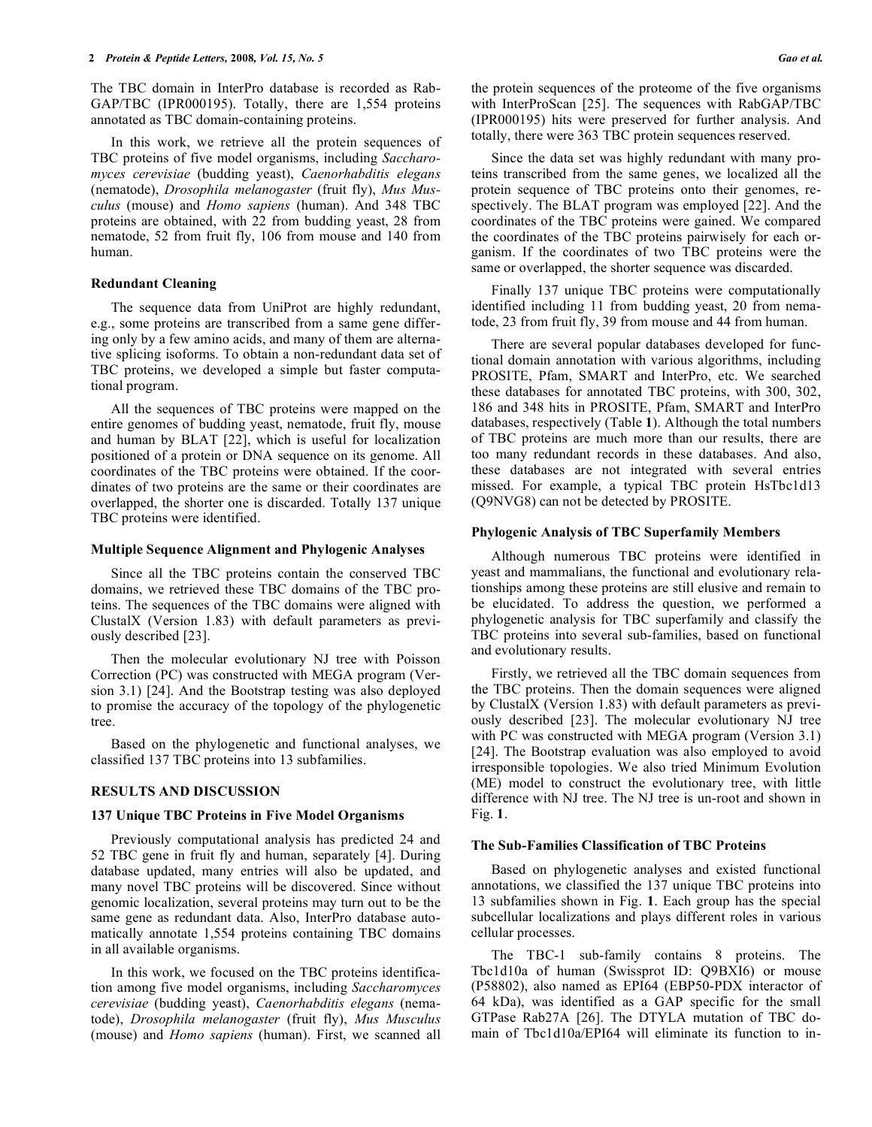The TBC domain in InterPro database is recorded as Rab-GAP/TBC (IPR000195). Totally, there are 1,554 proteins annotated as TBC domain-containing proteins.

 In this work, we retrieve all the protein sequences of TBC proteins of five model organisms, including *Saccharomyces cerevisiae* (budding yeast), *Caenorhabditis elegans* (nematode), *Drosophila melanogaster* (fruit fly), *Mus Musculus* (mouse) and *Homo sapiens* (human). And 348 TBC proteins are obtained, with 22 from budding yeast, 28 from nematode, 52 from fruit fly, 106 from mouse and 140 from human.

#### **Redundant Cleaning**

 The sequence data from UniProt are highly redundant, e.g., some proteins are transcribed from a same gene differing only by a few amino acids, and many of them are alternative splicing isoforms. To obtain a non-redundant data set of TBC proteins, we developed a simple but faster computational program.

 All the sequences of TBC proteins were mapped on the entire genomes of budding yeast, nematode, fruit fly, mouse and human by BLAT [22], which is useful for localization positioned of a protein or DNA sequence on its genome. All coordinates of the TBC proteins were obtained. If the coordinates of two proteins are the same or their coordinates are overlapped, the shorter one is discarded. Totally 137 unique TBC proteins were identified.

# **Multiple Sequence Alignment and Phylogenic Analyses**

 Since all the TBC proteins contain the conserved TBC domains, we retrieved these TBC domains of the TBC proteins. The sequences of the TBC domains were aligned with ClustalX (Version 1.83) with default parameters as previously described [23].

 Then the molecular evolutionary NJ tree with Poisson Correction (PC) was constructed with MEGA program (Version 3.1) [24]. And the Bootstrap testing was also deployed to promise the accuracy of the topology of the phylogenetic tree.

 Based on the phylogenetic and functional analyses, we classified 137 TBC proteins into 13 subfamilies.

#### **RESULTS AND DISCUSSION**

### **137 Unique TBC Proteins in Five Model Organisms**

 Previously computational analysis has predicted 24 and 52 TBC gene in fruit fly and human, separately [4]. During database updated, many entries will also be updated, and many novel TBC proteins will be discovered. Since without genomic localization, several proteins may turn out to be the same gene as redundant data. Also, InterPro database automatically annotate 1,554 proteins containing TBC domains in all available organisms.

 In this work, we focused on the TBC proteins identification among five model organisms, including *Saccharomyces cerevisiae* (budding yeast), *Caenorhabditis elegans* (nematode), *Drosophila melanogaster* (fruit fly), *Mus Musculus* (mouse) and *Homo sapiens* (human). First, we scanned all the protein sequences of the proteome of the five organisms with InterProScan [25]. The sequences with RabGAP/TBC (IPR000195) hits were preserved for further analysis. And totally, there were 363 TBC protein sequences reserved.

 Since the data set was highly redundant with many proteins transcribed from the same genes, we localized all the protein sequence of TBC proteins onto their genomes, respectively. The BLAT program was employed [22]. And the coordinates of the TBC proteins were gained. We compared the coordinates of the TBC proteins pairwisely for each organism. If the coordinates of two TBC proteins were the same or overlapped, the shorter sequence was discarded.

 Finally 137 unique TBC proteins were computationally identified including 11 from budding yeast, 20 from nematode, 23 from fruit fly, 39 from mouse and 44 from human.

 There are several popular databases developed for functional domain annotation with various algorithms, including PROSITE, Pfam, SMART and InterPro, etc. We searched these databases for annotated TBC proteins, with 300, 302, 186 and 348 hits in PROSITE, Pfam, SMART and InterPro databases, respectively (Table **1**). Although the total numbers of TBC proteins are much more than our results, there are too many redundant records in these databases. And also, these databases are not integrated with several entries missed. For example, a typical TBC protein HsTbc1d13 (Q9NVG8) can not be detected by PROSITE.

#### **Phylogenic Analysis of TBC Superfamily Members**

 Although numerous TBC proteins were identified in yeast and mammalians, the functional and evolutionary relationships among these proteins are still elusive and remain to be elucidated. To address the question, we performed a phylogenetic analysis for TBC superfamily and classify the TBC proteins into several sub-families, based on functional and evolutionary results.

 Firstly, we retrieved all the TBC domain sequences from the TBC proteins. Then the domain sequences were aligned by ClustalX (Version 1.83) with default parameters as previously described [23]. The molecular evolutionary NJ tree with PC was constructed with MEGA program (Version 3.1) [24]. The Bootstrap evaluation was also employed to avoid irresponsible topologies. We also tried Minimum Evolution (ME) model to construct the evolutionary tree, with little difference with NJ tree. The NJ tree is un-root and shown in Fig. **1**.

### **The Sub-Families Classification of TBC Proteins**

 Based on phylogenetic analyses and existed functional annotations, we classified the 137 unique TBC proteins into 13 subfamilies shown in Fig. **1**. Each group has the special subcellular localizations and plays different roles in various cellular processes.

 The TBC-1 sub-family contains 8 proteins. The Tbc1d10a of human (Swissprot ID: Q9BXI6) or mouse (P58802), also named as EPI64 (EBP50-PDX interactor of 64 kDa), was identified as a GAP specific for the small GTPase Rab27A [26]. The DTYLA mutation of TBC domain of Tbc1d10a/EPI64 will eliminate its function to in-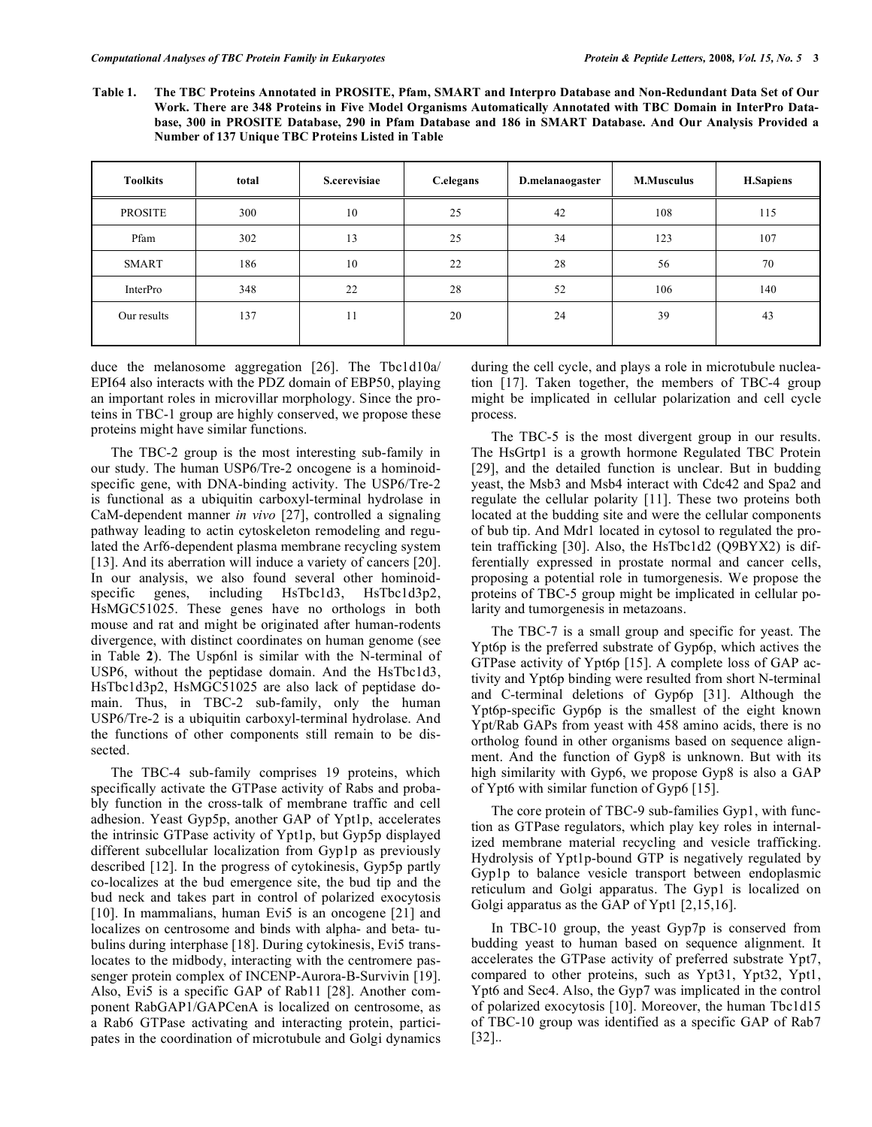**Table 1. The TBC Proteins Annotated in PROSITE, Pfam, SMART and Interpro Database and Non-Redundant Data Set of Our Work. There are 348 Proteins in Five Model Organisms Automatically Annotated with TBC Domain in InterPro Database, 300 in PROSITE Database, 290 in Pfam Database and 186 in SMART Database. And Our Analysis Provided a Number of 137 Unique TBC Proteins Listed in Table**

| <b>Toolkits</b> | total | S.cerevisiae | C.elegans | D.melanaogaster | <b>M.Musculus</b> | <b>H.Sapiens</b> |
|-----------------|-------|--------------|-----------|-----------------|-------------------|------------------|
| <b>PROSITE</b>  | 300   | 10           | 25        | 42              | 108               | 115              |
| Pfam            | 302   | 13           | 25        | 34              | 123               | 107              |
| SMART           | 186   | 10           | 22        | 28              | 56                | 70               |
| InterPro        | 348   | 22           | 28        | 52              | 106               | 140              |
| Our results     | 137   | 11           | 20        | 24              | 39                | 43               |

duce the melanosome aggregation [26]. The Tbc1d10a/ EPI64 also interacts with the PDZ domain of EBP50, playing an important roles in microvillar morphology. Since the proteins in TBC-1 group are highly conserved, we propose these proteins might have similar functions.

 The TBC-2 group is the most interesting sub-family in our study. The human USP6/Tre-2 oncogene is a hominoidspecific gene, with DNA-binding activity. The USP6/Tre-2 is functional as a ubiquitin carboxyl-terminal hydrolase in CaM-dependent manner *in vivo* [27], controlled a signaling pathway leading to actin cytoskeleton remodeling and regulated the Arf6-dependent plasma membrane recycling system [13]. And its aberration will induce a variety of cancers [20]. In our analysis, we also found several other hominoidspecific genes, including HsTbc1d3, HsTbc1d3p2, HsMGC51025. These genes have no orthologs in both mouse and rat and might be originated after human-rodents divergence, with distinct coordinates on human genome (see in Table **2**). The Usp6nl is similar with the N-terminal of USP6, without the peptidase domain. And the HsTbc1d3, HsTbc1d3p2, HsMGC51025 are also lack of peptidase domain. Thus, in TBC-2 sub-family, only the human USP6/Tre-2 is a ubiquitin carboxyl-terminal hydrolase. And the functions of other components still remain to be dissected.

 The TBC-4 sub-family comprises 19 proteins, which specifically activate the GTPase activity of Rabs and probably function in the cross-talk of membrane traffic and cell adhesion. Yeast Gyp5p, another GAP of Ypt1p, accelerates the intrinsic GTPase activity of Ypt1p, but Gyp5p displayed different subcellular localization from Gyp1p as previously described [12]. In the progress of cytokinesis, Gyp5p partly co-localizes at the bud emergence site, the bud tip and the bud neck and takes part in control of polarized exocytosis [10]. In mammalians, human Evi5 is an oncogene [21] and localizes on centrosome and binds with alpha- and beta- tubulins during interphase [18]. During cytokinesis, Evi5 translocates to the midbody, interacting with the centromere passenger protein complex of INCENP-Aurora-B-Survivin [19]. Also, Evi5 is a specific GAP of Rab11 [28]. Another component RabGAP1/GAPCenA is localized on centrosome, as a Rab6 GTPase activating and interacting protein, participates in the coordination of microtubule and Golgi dynamics during the cell cycle, and plays a role in microtubule nucleation [17]. Taken together, the members of TBC-4 group might be implicated in cellular polarization and cell cycle process.

 The TBC-5 is the most divergent group in our results. The HsGrtp1 is a growth hormone Regulated TBC Protein [29], and the detailed function is unclear. But in budding yeast, the Msb3 and Msb4 interact with Cdc42 and Spa2 and regulate the cellular polarity [11]. These two proteins both located at the budding site and were the cellular components of bub tip. And Mdr1 located in cytosol to regulated the protein trafficking [30]. Also, the HsTbc1d2 (Q9BYX2) is differentially expressed in prostate normal and cancer cells, proposing a potential role in tumorgenesis. We propose the proteins of TBC-5 group might be implicated in cellular polarity and tumorgenesis in metazoans.

 The TBC-7 is a small group and specific for yeast. The Ypt6p is the preferred substrate of Gyp6p, which actives the GTPase activity of Ypt6p [15]. A complete loss of GAP activity and Ypt6p binding were resulted from short N-terminal and C-terminal deletions of Gyp6p [31]. Although the Ypt6p-specific Gyp6p is the smallest of the eight known Ypt/Rab GAPs from yeast with 458 amino acids, there is no ortholog found in other organisms based on sequence alignment. And the function of Gyp8 is unknown. But with its high similarity with Gyp6, we propose Gyp8 is also a GAP of Ypt6 with similar function of Gyp6 [15].

 The core protein of TBC-9 sub-families Gyp1, with function as GTPase regulators, which play key roles in internalized membrane material recycling and vesicle trafficking. Hydrolysis of Ypt1p-bound GTP is negatively regulated by Gyp1p to balance vesicle transport between endoplasmic reticulum and Golgi apparatus. The Gyp1 is localized on Golgi apparatus as the GAP of Ypt1 [2,15,16].

 In TBC-10 group, the yeast Gyp7p is conserved from budding yeast to human based on sequence alignment. It accelerates the GTPase activity of preferred substrate Ypt7, compared to other proteins, such as Ypt31, Ypt32, Ypt1, Ypt6 and Sec4. Also, the Gyp7 was implicated in the control of polarized exocytosis [10]. Moreover, the human Tbc1d15 of TBC-10 group was identified as a specific GAP of Rab7 [32]..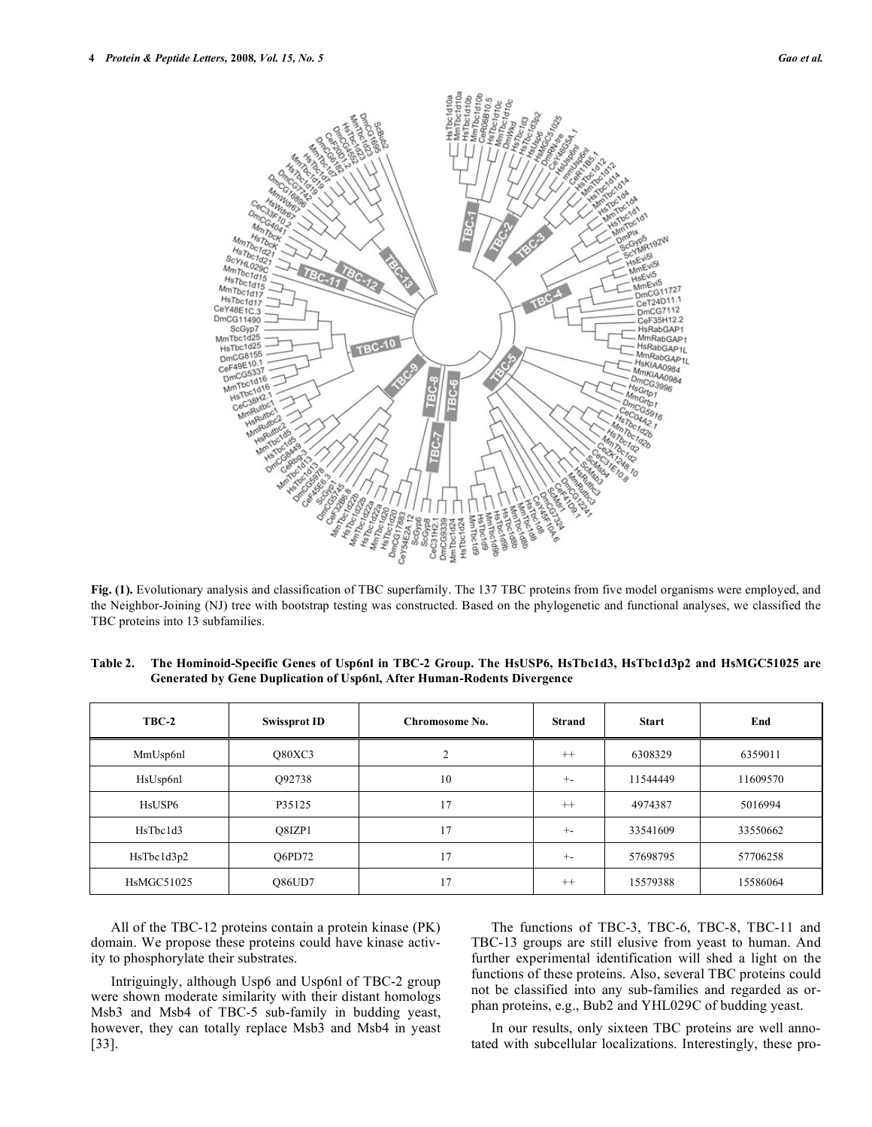

**Fig. (1).** Evolutionary analysis and classification of TBC superfamily. The 137 TBC proteins from five model organisms were employed, and the Neighbor-Joining (NJ) tree with bootstrap testing was constructed. Based on the phylogenetic and functional analyses, we classified the TBC proteins into 13 subfamilies.

| TBC-2                           | <b>Swissprot ID</b> | Chromosome No. | <b>Strand</b> | <b>Start</b> | End      |
|---------------------------------|---------------------|----------------|---------------|--------------|----------|
| MmUsp6nl                        | O80XC3              | 2              | $^{++}$       | 6308329      | 6359011  |
| HsUsp6nl                        | O92738              | 10             | $+ -$         | 11544449     | 11609570 |
| H <sub>s</sub> USP <sub>6</sub> | P35125              | 17             | $++$          | 4974387      | 5016994  |
| HsThc1d3                        | O8IZP1              | 17             | $+ -$         | 33541609     | 33550662 |
| HsTbc1d3p2                      | O6PD72              | 17             | $+ -$         | 57698795     | 57706258 |
| <b>HsMGC51025</b>               | <b>O86UD7</b>       | 17             | $++$          | 15579388     | 15586064 |

**Table 2. The Hominoid-Specific Genes of Usp6nl in TBC-2 Group. The HsUSP6, HsTbc1d3, HsTbc1d3p2 and HsMGC51025 are Generated by Gene Duplication of Usp6nl, After Human-Rodents Divergence** 

 All of the TBC-12 proteins contain a protein kinase (PK) domain. We propose these proteins could have kinase activity to phosphorylate their substrates.

 Intriguingly, although Usp6 and Usp6nl of TBC-2 group were shown moderate similarity with their distant homologs Msb3 and Msb4 of TBC-5 sub-family in budding yeast, however, they can totally replace Msb3 and Msb4 in yeast [33].

 The functions of TBC-3, TBC-6, TBC-8, TBC-11 and TBC-13 groups are still elusive from yeast to human. And further experimental identification will shed a light on the functions of these proteins. Also, several TBC proteins could not be classified into any sub-families and regarded as orphan proteins, e.g., Bub2 and YHL029C of budding yeast.

 In our results, only sixteen TBC proteins are well annotated with subcellular localizations. Interestingly, these pro